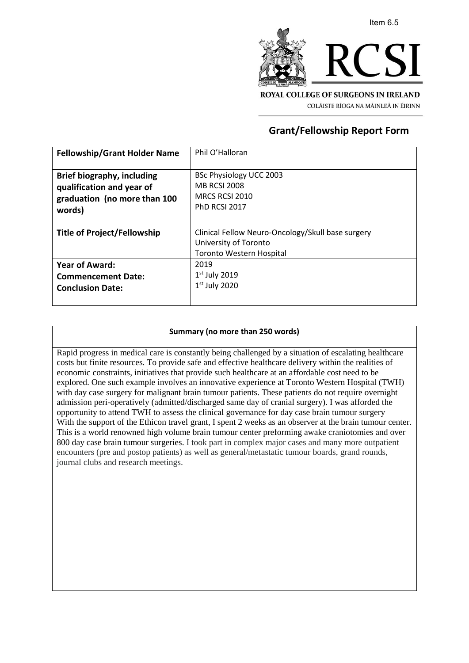

COLÁISTE RÍOGA NA MÁINLEÁ IN ÉIRINN

## **Grant/Fellowship Report Form**

| <b>Fellowship/Grant Holder Name</b> | Phil O'Halloran                                   |
|-------------------------------------|---------------------------------------------------|
|                                     |                                                   |
| <b>Brief biography, including</b>   | BSc Physiology UCC 2003                           |
| qualification and year of           | <b>MB RCSI 2008</b>                               |
| graduation (no more than 100        | MRCS RCSI 2010                                    |
| words)                              | <b>PhD RCSI 2017</b>                              |
|                                     |                                                   |
| Title of Project/Fellowship         | Clinical Fellow Neuro-Oncology/Skull base surgery |
|                                     | University of Toronto                             |
|                                     | <b>Toronto Western Hospital</b>                   |
| <b>Year of Award:</b>               | 2019                                              |
| <b>Commencement Date:</b>           | $1st$ July 2019                                   |
| <b>Conclusion Date:</b>             | $1st$ July 2020                                   |
|                                     |                                                   |

## **Summary (no more than 250 words)**

Rapid progress in medical care is constantly being challenged by a situation of escalating healthcare costs but finite resources. To provide safe and effective healthcare delivery within the realities of economic constraints, initiatives that provide such healthcare at an affordable cost need to be explored. One such example involves an innovative experience at Toronto Western Hospital (TWH) with day case surgery for malignant brain tumour patients. These patients do not require overnight admission peri-operatively (admitted/discharged same day of cranial surgery). I was afforded the opportunity to attend TWH to assess the clinical governance for day case brain tumour surgery With the support of the Ethicon travel grant, I spent 2 weeks as an observer at the brain tumour center. This is a world renowned high volume brain tumour center preforming awake craniotomies and over 800 day case brain tumour surgeries. I took part in complex major cases and many more outpatient encounters (pre and postop patients) as well as general/metastatic tumour boards, grand rounds, journal clubs and research meetings.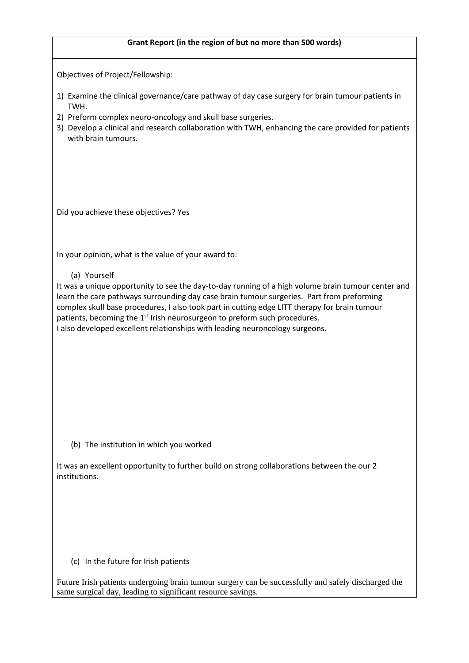## **Grant Report (in the region of but no more than 500 words)**

Objectives of Project/Fellowship:

- 1) Examine the clinical governance/care pathway of day case surgery for brain tumour patients in TWH.
- 2) Preform complex neuro-oncology and skull base surgeries.
- 3) Develop a clinical and research collaboration with TWH, enhancing the care provided for patients with brain tumours.

Did you achieve these objectives? Yes

In your opinion, what is the value of your award to:

(a) Yourself

It was a unique opportunity to see the day-to-day running of a high volume brain tumour center and learn the care pathways surrounding day case brain tumour surgeries. Part from preforming complex skull base procedures, I also took part in cutting edge LITT therapy for brain tumour patients, becoming the 1<sup>st</sup> Irish neurosurgeon to preform such procedures. I also developed excellent relationships with leading neuroncology surgeons.

(b) The institution in which you worked

It was an excellent opportunity to further build on strong collaborations between the our 2 institutions.

(c) In the future for Irish patients

Future Irish patients undergoing brain tumour surgery can be successfully and safely discharged the same surgical day, leading to significant resource savings.